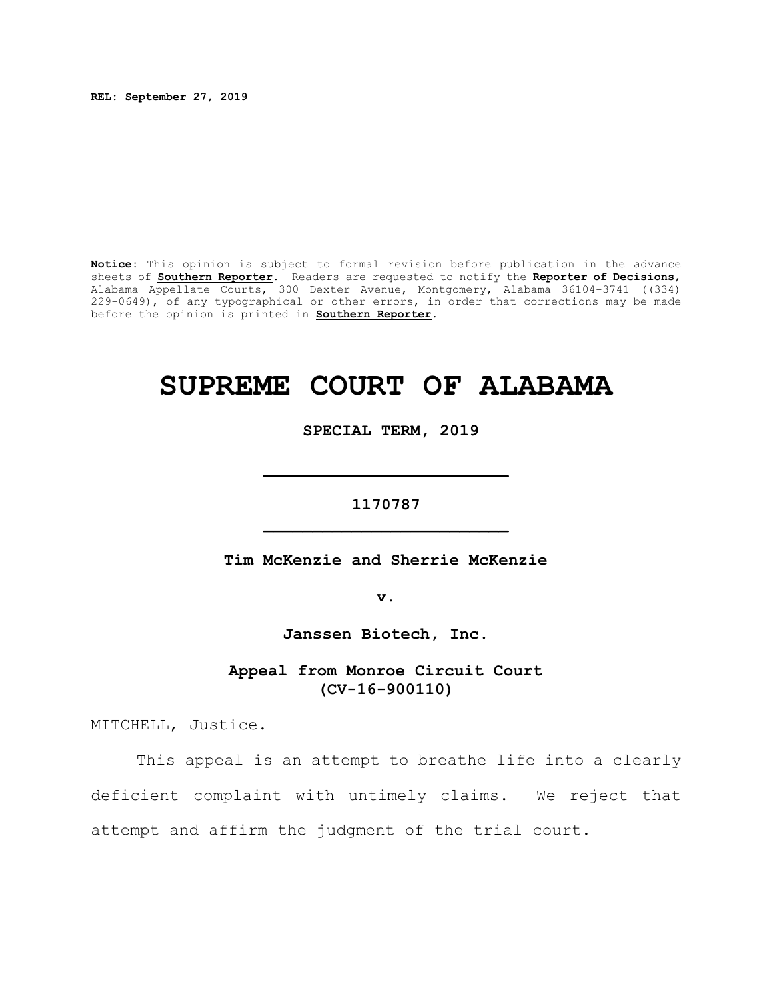**REL: September 27, 2019**

**Notice:** This opinion is subject to formal revision before publication in the advance sheets of **Southern Reporter**. Readers are requested to notify the **Reporter of Decisions**, Alabama Appellate Courts, 300 Dexter Avenue, Montgomery, Alabama 36104-3741 ((334) 229-0649), of any typographical or other errors, in order that corrections may be made before the opinion is printed in **Southern Reporter**.

# **SUPREME COURT OF ALABAMA**

 **SPECIAL TERM, 2019**

**1170787 \_\_\_\_\_\_\_\_\_\_\_\_\_\_\_\_\_\_\_\_\_\_\_\_\_**

**\_\_\_\_\_\_\_\_\_\_\_\_\_\_\_\_\_\_\_\_\_\_\_\_\_**

**Tim McKenzie and Sherrie McKenzie**

**v.**

**Janssen Biotech, Inc.**

**Appeal from Monroe Circuit Court (CV-16-900110)**

MITCHELL, Justice.

This appeal is an attempt to breathe life into a clearly deficient complaint with untimely claims. We reject that attempt and affirm the judgment of the trial court.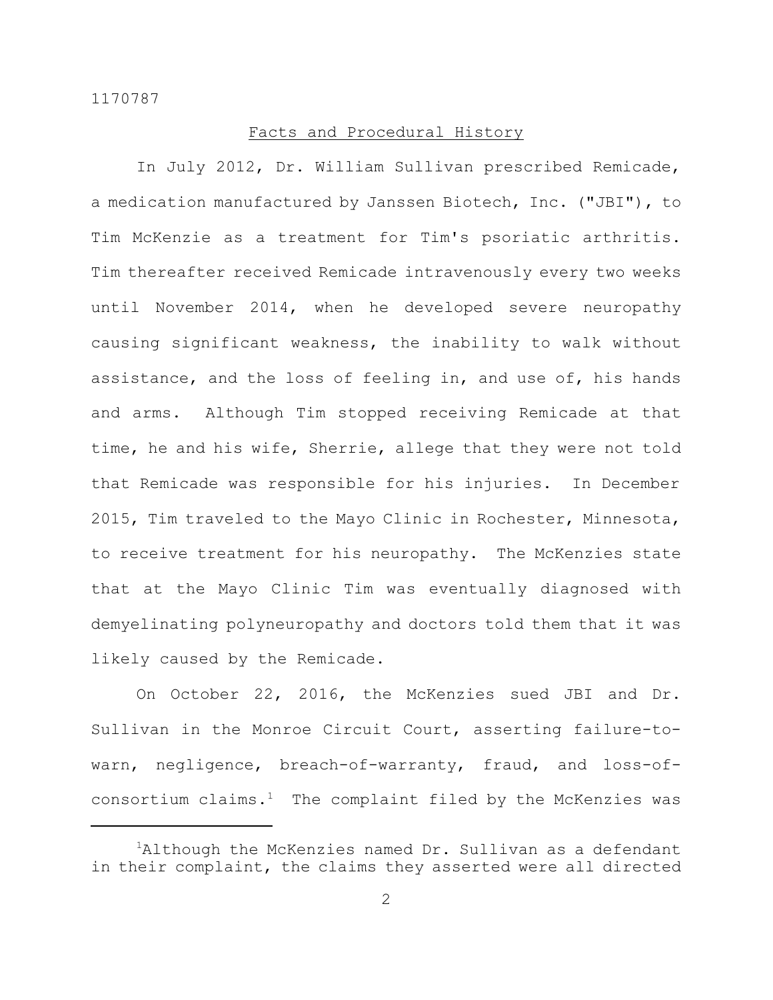## Facts and Procedural History

In July 2012, Dr. William Sullivan prescribed Remicade, a medication manufactured by Janssen Biotech, Inc. ("JBI"), to Tim McKenzie as a treatment for Tim's psoriatic arthritis. Tim thereafter received Remicade intravenously every two weeks until November 2014, when he developed severe neuropathy causing significant weakness, the inability to walk without assistance, and the loss of feeling in, and use of, his hands and arms. Although Tim stopped receiving Remicade at that time, he and his wife, Sherrie, allege that they were not told that Remicade was responsible for his injuries. In December 2015, Tim traveled to the Mayo Clinic in Rochester, Minnesota, to receive treatment for his neuropathy. The McKenzies state that at the Mayo Clinic Tim was eventually diagnosed with demyelinating polyneuropathy and doctors told them that it was likely caused by the Remicade.

On October 22, 2016, the McKenzies sued JBI and Dr. Sullivan in the Monroe Circuit Court, asserting failure-towarn, negligence, breach-of-warranty, fraud, and loss-ofconsortium claims. $<sup>1</sup>$  The complaint filed by the McKenzies was</sup>

<sup>&</sup>lt;sup>1</sup>Although the McKenzies named Dr. Sullivan as a defendant in their complaint, the claims they asserted were all directed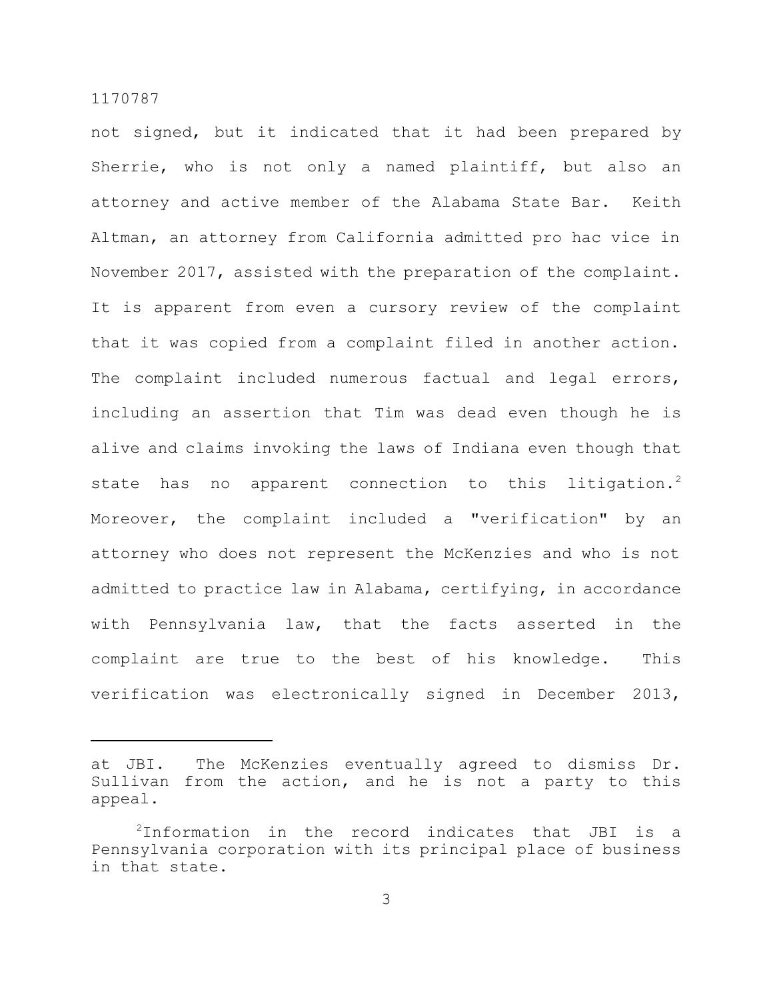not signed, but it indicated that it had been prepared by Sherrie, who is not only a named plaintiff, but also an attorney and active member of the Alabama State Bar. Keith Altman, an attorney from California admitted pro hac vice in November 2017, assisted with the preparation of the complaint. It is apparent from even a cursory review of the complaint that it was copied from a complaint filed in another action. The complaint included numerous factual and legal errors, including an assertion that Tim was dead even though he is alive and claims invoking the laws of Indiana even though that state has no apparent connection to this litigation.<sup>2</sup> Moreover, the complaint included a "verification" by an attorney who does not represent the McKenzies and who is not admitted to practice law in Alabama, certifying, in accordance with Pennsylvania law, that the facts asserted in the complaint are true to the best of his knowledge. This verification was electronically signed in December 2013,

at JBI. The McKenzies eventually agreed to dismiss Dr. Sullivan from the action, and he is not a party to this appeal.

<sup>2</sup>Information in the record indicates that JBI is a Pennsylvania corporation with its principal place of business in that state.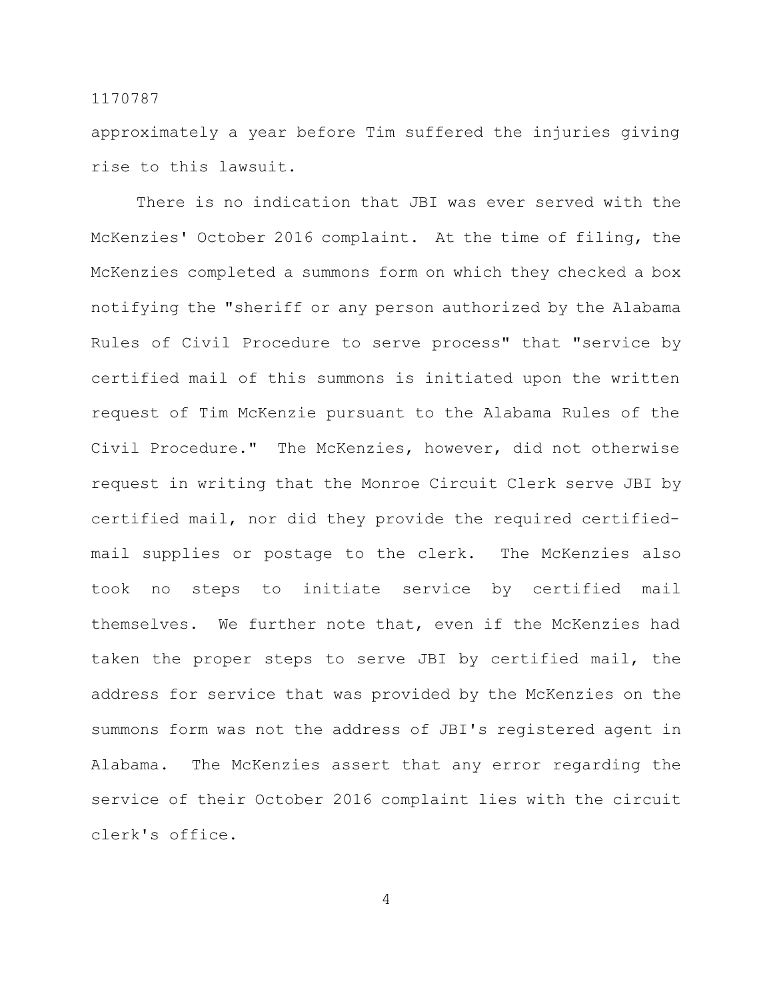approximately a year before Tim suffered the injuries giving rise to this lawsuit.

There is no indication that JBI was ever served with the McKenzies' October 2016 complaint. At the time of filing, the McKenzies completed a summons form on which they checked a box notifying the "sheriff or any person authorized by the Alabama Rules of Civil Procedure to serve process" that "service by certified mail of this summons is initiated upon the written request of Tim McKenzie pursuant to the Alabama Rules of the Civil Procedure." The McKenzies, however, did not otherwise request in writing that the Monroe Circuit Clerk serve JBI by certified mail, nor did they provide the required certifiedmail supplies or postage to the clerk. The McKenzies also took no steps to initiate service by certified mail themselves. We further note that, even if the McKenzies had taken the proper steps to serve JBI by certified mail, the address for service that was provided by the McKenzies on the summons form was not the address of JBI's registered agent in Alabama. The McKenzies assert that any error regarding the service of their October 2016 complaint lies with the circuit clerk's office.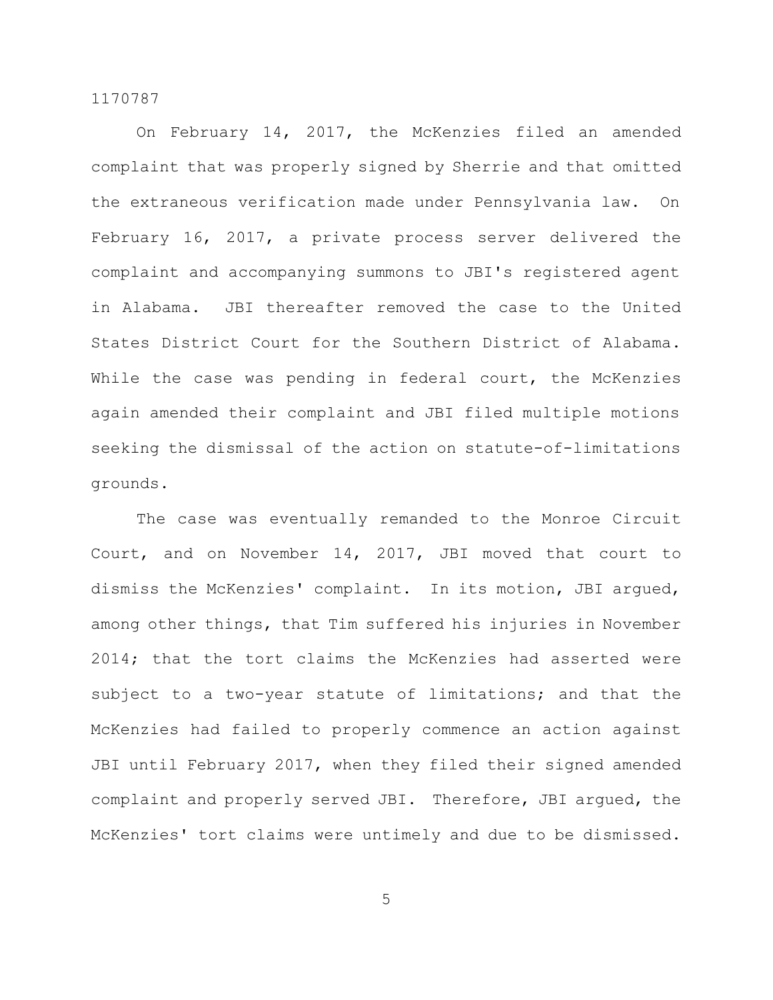On February 14, 2017, the McKenzies filed an amended complaint that was properly signed by Sherrie and that omitted the extraneous verification made under Pennsylvania law. On February 16, 2017, a private process server delivered the complaint and accompanying summons to JBI's registered agent in Alabama. JBI thereafter removed the case to the United States District Court for the Southern District of Alabama. While the case was pending in federal court, the McKenzies again amended their complaint and JBI filed multiple motions seeking the dismissal of the action on statute-of-limitations grounds.

The case was eventually remanded to the Monroe Circuit Court, and on November 14, 2017, JBI moved that court to dismiss the McKenzies' complaint. In its motion, JBI argued, among other things, that Tim suffered his injuries in November 2014; that the tort claims the McKenzies had asserted were subject to a two-year statute of limitations; and that the McKenzies had failed to properly commence an action against JBI until February 2017, when they filed their signed amended complaint and properly served JBI. Therefore, JBI argued, the McKenzies' tort claims were untimely and due to be dismissed.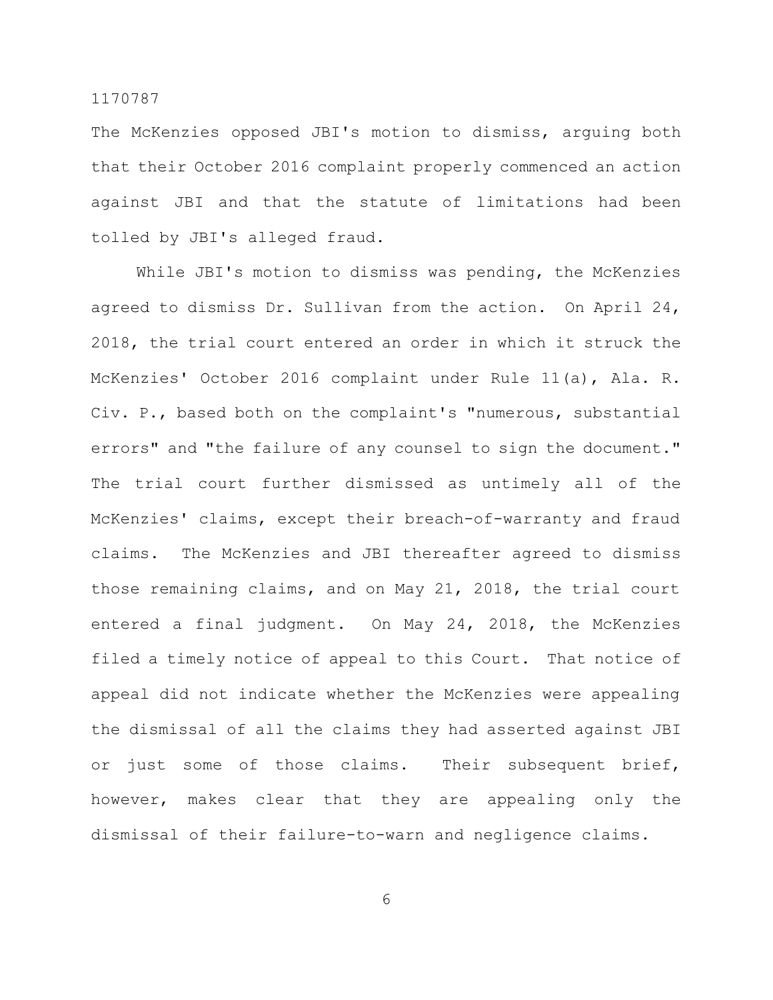The McKenzies opposed JBI's motion to dismiss, arguing both that their October 2016 complaint properly commenced an action against JBI and that the statute of limitations had been tolled by JBI's alleged fraud.

While JBI's motion to dismiss was pending, the McKenzies agreed to dismiss Dr. Sullivan from the action. On April 24, 2018, the trial court entered an order in which it struck the McKenzies' October 2016 complaint under Rule 11(a), Ala. R. Civ. P., based both on the complaint's "numerous, substantial errors" and "the failure of any counsel to sign the document." The trial court further dismissed as untimely all of the McKenzies' claims, except their breach-of-warranty and fraud claims. The McKenzies and JBI thereafter agreed to dismiss those remaining claims, and on May 21, 2018, the trial court entered a final judgment. On May 24, 2018, the McKenzies filed a timely notice of appeal to this Court. That notice of appeal did not indicate whether the McKenzies were appealing the dismissal of all the claims they had asserted against JBI or just some of those claims. Their subsequent brief, however, makes clear that they are appealing only the dismissal of their failure-to-warn and negligence claims.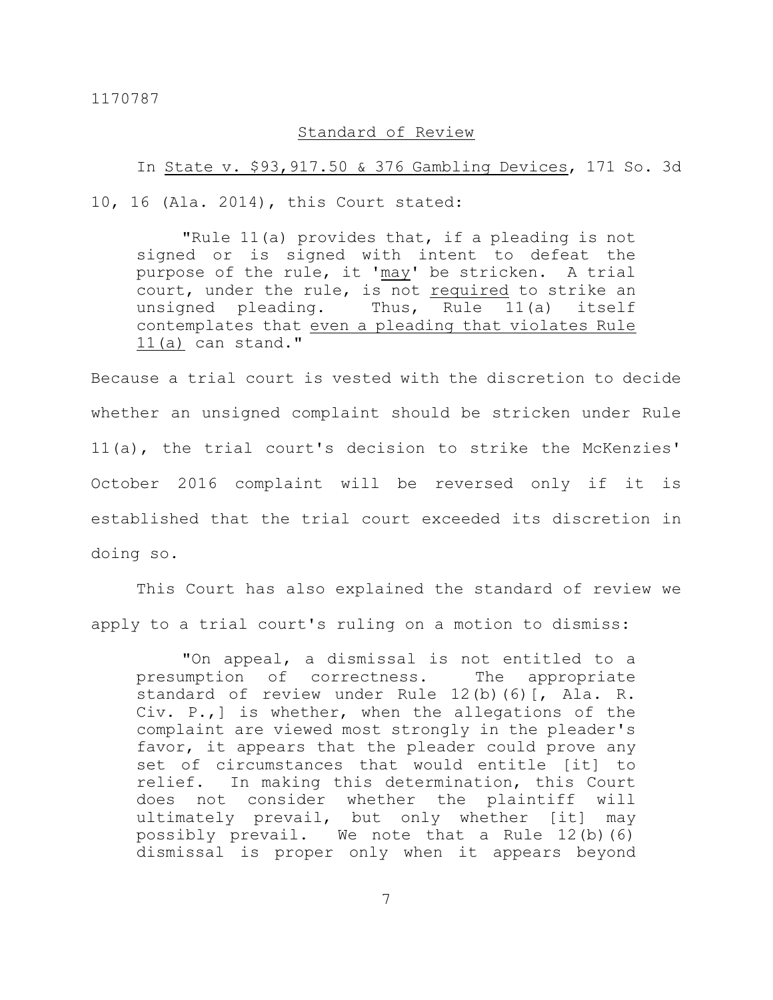## Standard of Review

#### In State v. \$93,917.50 & 376 Gambling Devices, 171 So. 3d

10, 16 (Ala. 2014), this Court stated:

"Rule 11(a) provides that, if a pleading is not signed or is signed with intent to defeat the purpose of the rule, it 'may' be stricken. A trial court, under the rule, is not required to strike an unsigned pleading. Thus, Rule 11(a) itself contemplates that even a pleading that violates Rule 11(a) can stand."

Because a trial court is vested with the discretion to decide whether an unsigned complaint should be stricken under Rule 11(a), the trial court's decision to strike the McKenzies' October 2016 complaint will be reversed only if it is established that the trial court exceeded its discretion in doing so.

This Court has also explained the standard of review we apply to a trial court's ruling on a motion to dismiss:

"On appeal, a dismissal is not entitled to a presumption of correctness. The appropriate standard of review under Rule 12(b)(6)[, Ala. R. Civ. P.,] is whether, when the allegations of the complaint are viewed most strongly in the pleader's favor, it appears that the pleader could prove any set of circumstances that would entitle [it] to relief. In making this determination, this Court does not consider whether the plaintiff will ultimately prevail, but only whether [it] may possibly prevail. We note that a Rule 12(b)(6) dismissal is proper only when it appears beyond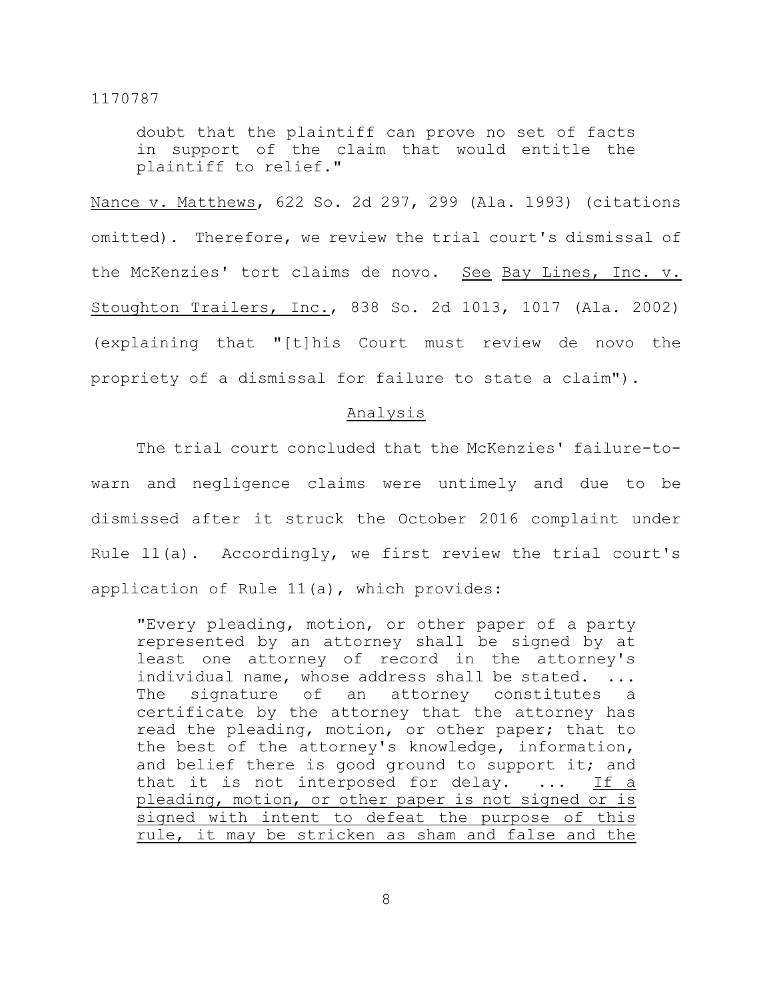doubt that the plaintiff can prove no set of facts in support of the claim that would entitle the plaintiff to relief."

Nance v. Matthews, 622 So. 2d 297, 299 (Ala. 1993) (citations omitted). Therefore, we review the trial court's dismissal of the McKenzies' tort claims de novo. See Bay Lines, Inc. v. Stoughton Trailers, Inc., 838 So. 2d 1013, 1017 (Ala. 2002) (explaining that "[t]his Court must review de novo the propriety of a dismissal for failure to state a claim").

#### Analysis

The trial court concluded that the McKenzies' failure-towarn and negligence claims were untimely and due to be dismissed after it struck the October 2016 complaint under Rule 11(a). Accordingly, we first review the trial court's application of Rule 11(a), which provides:

"Every pleading, motion, or other paper of a party represented by an attorney shall be signed by at least one attorney of record in the attorney's individual name, whose address shall be stated. ... The signature of an attorney constitutes a certificate by the attorney that the attorney has read the pleading, motion, or other paper; that to the best of the attorney's knowledge, information, and belief there is good ground to support it; and that it is not interposed for delay. ... If a pleading, motion, or other paper is not signed or is signed with intent to defeat the purpose of this rule, it may be stricken as sham and false and the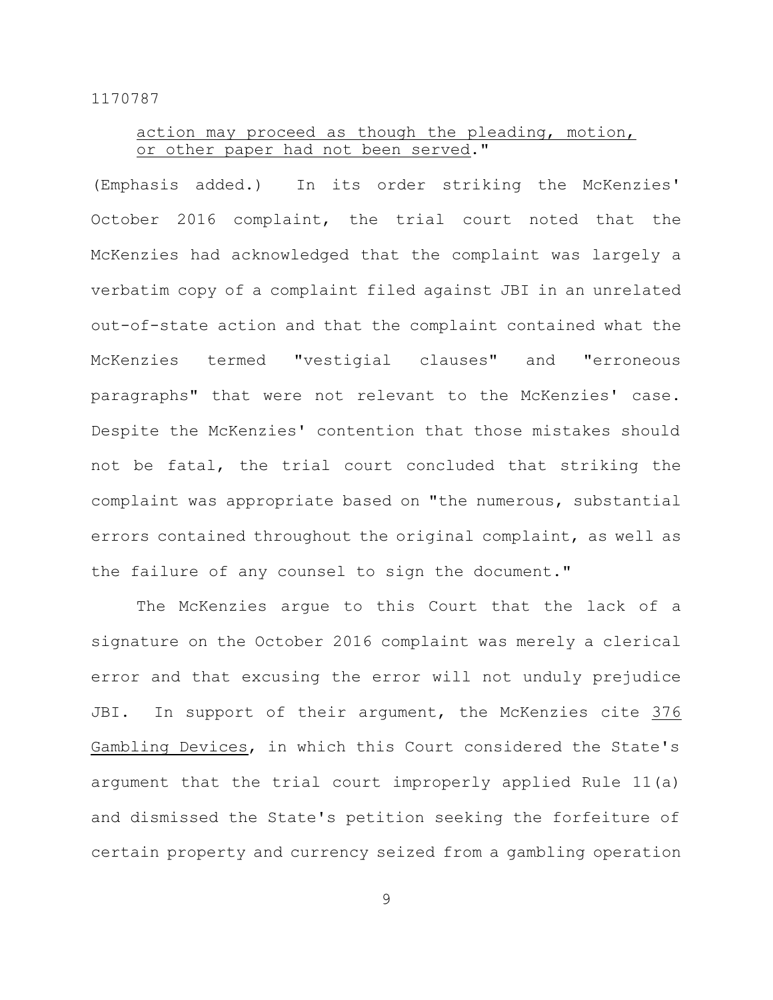# action may proceed as though the pleading, motion, or other paper had not been served."

(Emphasis added.) In its order striking the McKenzies' October 2016 complaint, the trial court noted that the McKenzies had acknowledged that the complaint was largely a verbatim copy of a complaint filed against JBI in an unrelated out-of-state action and that the complaint contained what the McKenzies termed "vestigial clauses" and "erroneous paragraphs" that were not relevant to the McKenzies' case. Despite the McKenzies' contention that those mistakes should not be fatal, the trial court concluded that striking the complaint was appropriate based on "the numerous, substantial errors contained throughout the original complaint, as well as the failure of any counsel to sign the document."

The McKenzies argue to this Court that the lack of a signature on the October 2016 complaint was merely a clerical error and that excusing the error will not unduly prejudice JBI. In support of their argument, the McKenzies cite 376 Gambling Devices, in which this Court considered the State's argument that the trial court improperly applied Rule 11(a) and dismissed the State's petition seeking the forfeiture of certain property and currency seized from a gambling operation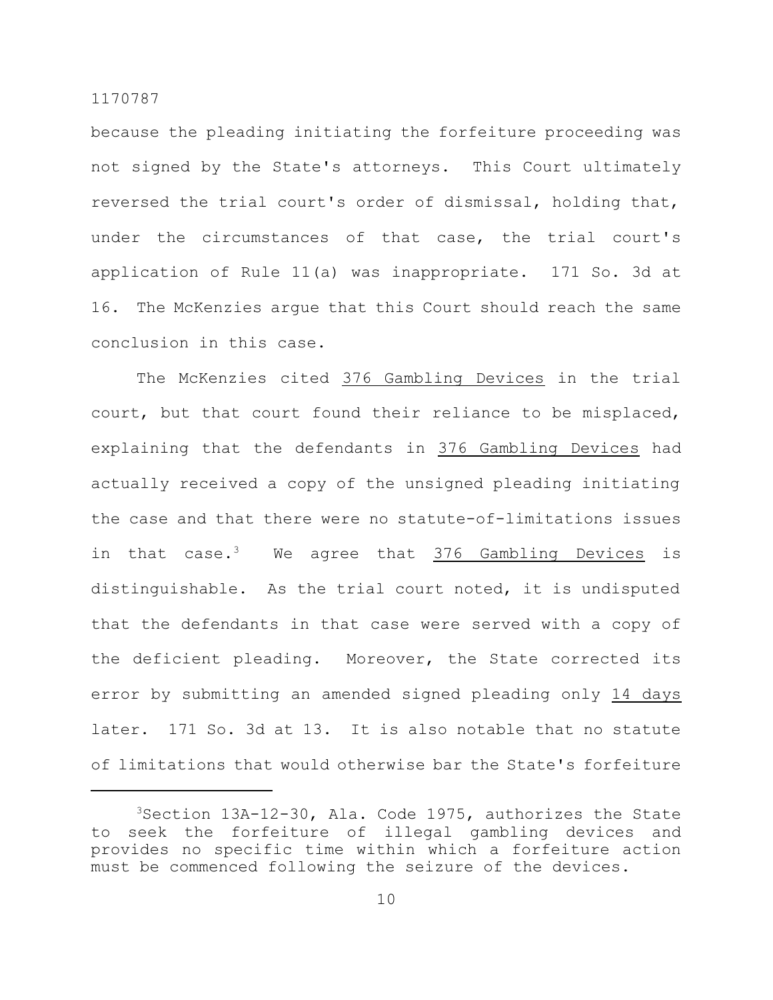because the pleading initiating the forfeiture proceeding was not signed by the State's attorneys. This Court ultimately reversed the trial court's order of dismissal, holding that, under the circumstances of that case, the trial court's application of Rule 11(a) was inappropriate. 171 So. 3d at 16. The McKenzies argue that this Court should reach the same conclusion in this case.

The McKenzies cited 376 Gambling Devices in the trial court, but that court found their reliance to be misplaced, explaining that the defendants in 376 Gambling Devices had actually received a copy of the unsigned pleading initiating the case and that there were no statute-of-limitations issues in that case.<sup>3</sup> We agree that 376 Gambling Devices is distinguishable. As the trial court noted, it is undisputed that the defendants in that case were served with a copy of the deficient pleading. Moreover, the State corrected its error by submitting an amended signed pleading only 14 days later. 171 So. 3d at 13. It is also notable that no statute of limitations that would otherwise bar the State's forfeiture

<sup>3</sup>Section 13A-12-30, Ala. Code 1975, authorizes the State to seek the forfeiture of illegal gambling devices and provides no specific time within which a forfeiture action must be commenced following the seizure of the devices.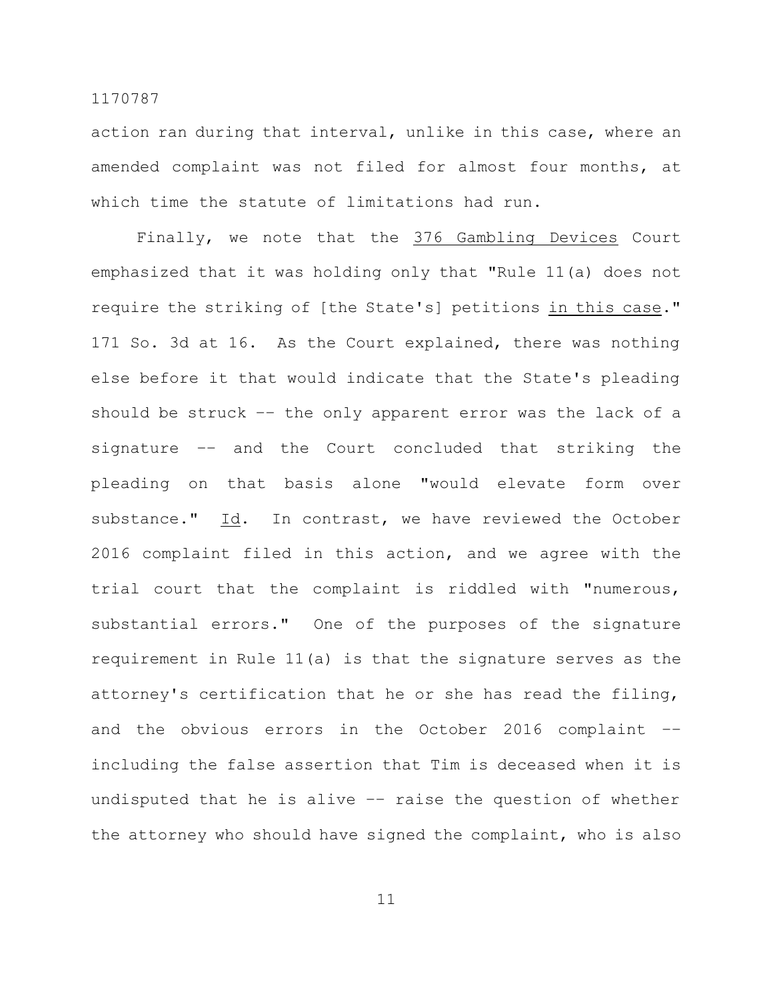action ran during that interval, unlike in this case, where an amended complaint was not filed for almost four months, at which time the statute of limitations had run.

Finally, we note that the 376 Gambling Devices Court emphasized that it was holding only that "Rule 11(a) does not require the striking of [the State's] petitions in this case." 171 So. 3d at 16. As the Court explained, there was nothing else before it that would indicate that the State's pleading should be struck –– the only apparent error was the lack of a signature –– and the Court concluded that striking the pleading on that basis alone "would elevate form over substance." Id. In contrast, we have reviewed the October 2016 complaint filed in this action, and we agree with the trial court that the complaint is riddled with "numerous, substantial errors." One of the purposes of the signature requirement in Rule 11(a) is that the signature serves as the attorney's certification that he or she has read the filing, and the obvious errors in the October 2016 complaint –– including the false assertion that Tim is deceased when it is undisputed that he is alive –– raise the question of whether the attorney who should have signed the complaint, who is also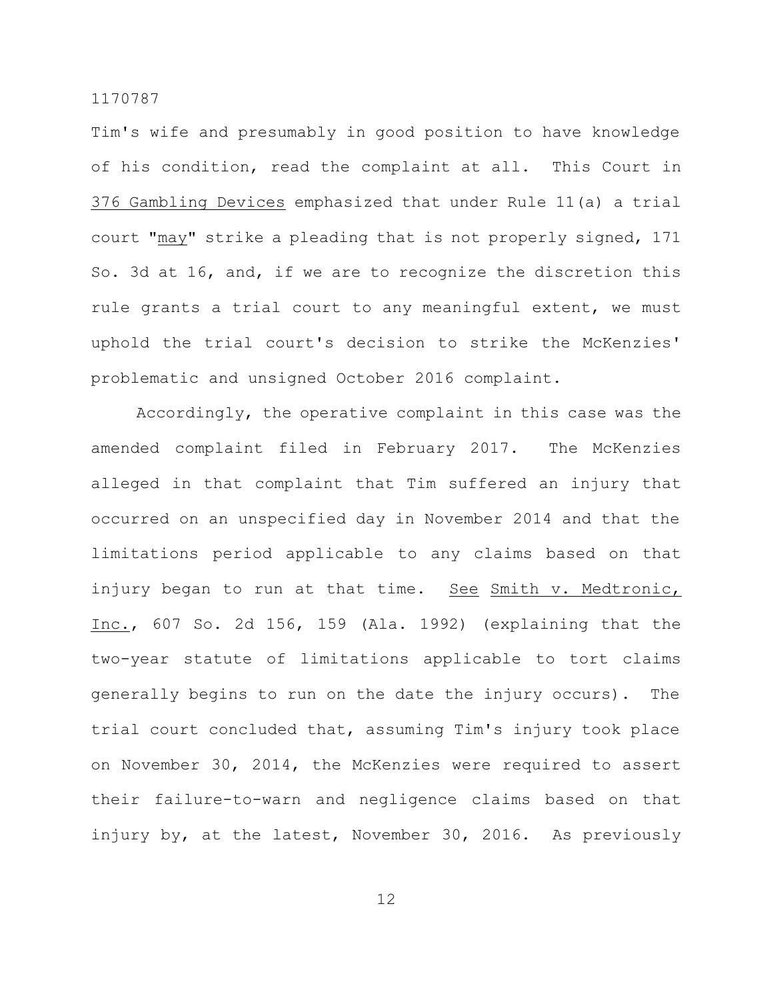Tim's wife and presumably in good position to have knowledge of his condition, read the complaint at all. This Court in 376 Gambling Devices emphasized that under Rule 11(a) a trial court "may" strike a pleading that is not properly signed, 171 So. 3d at 16, and, if we are to recognize the discretion this rule grants a trial court to any meaningful extent, we must uphold the trial court's decision to strike the McKenzies' problematic and unsigned October 2016 complaint.

Accordingly, the operative complaint in this case was the amended complaint filed in February 2017. The McKenzies alleged in that complaint that Tim suffered an injury that occurred on an unspecified day in November 2014 and that the limitations period applicable to any claims based on that injury began to run at that time. See Smith v. Medtronic, Inc., 607 So. 2d 156, 159 (Ala. 1992) (explaining that the two-year statute of limitations applicable to tort claims generally begins to run on the date the injury occurs). The trial court concluded that, assuming Tim's injury took place on November 30, 2014, the McKenzies were required to assert their failure-to-warn and negligence claims based on that injury by, at the latest, November 30, 2016. As previously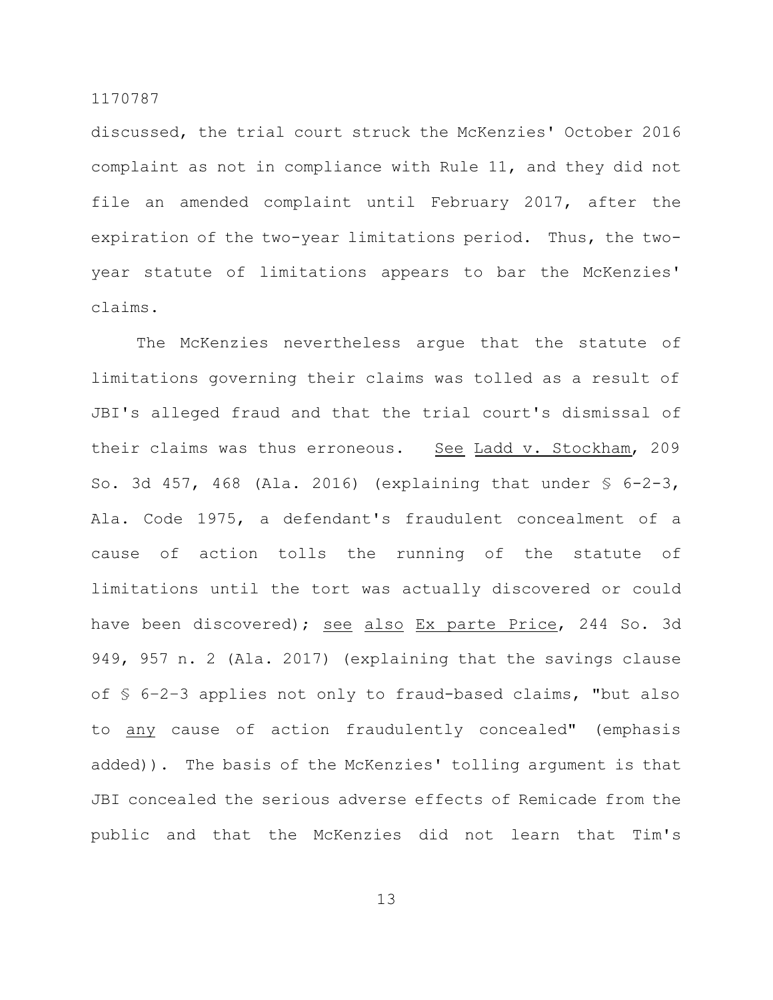discussed, the trial court struck the McKenzies' October 2016 complaint as not in compliance with Rule 11, and they did not file an amended complaint until February 2017, after the expiration of the two-year limitations period. Thus, the twoyear statute of limitations appears to bar the McKenzies' claims.

The McKenzies nevertheless argue that the statute of limitations governing their claims was tolled as a result of JBI's alleged fraud and that the trial court's dismissal of their claims was thus erroneous. See Ladd v. Stockham, 209 So. 3d 457, 468 (Ala. 2016) (explaining that under  $\S$  6-2-3, Ala. Code 1975, a defendant's fraudulent concealment of a cause of action tolls the running of the statute of limitations until the tort was actually discovered or could have been discovered); see also Ex parte Price, 244 So. 3d 949, 957 n. 2 (Ala. 2017) (explaining that the savings clause of § 6–2–3 applies not only to fraud-based claims, "but also to any cause of action fraudulently concealed" (emphasis added)). The basis of the McKenzies' tolling argument is that JBI concealed the serious adverse effects of Remicade from the public and that the McKenzies did not learn that Tim's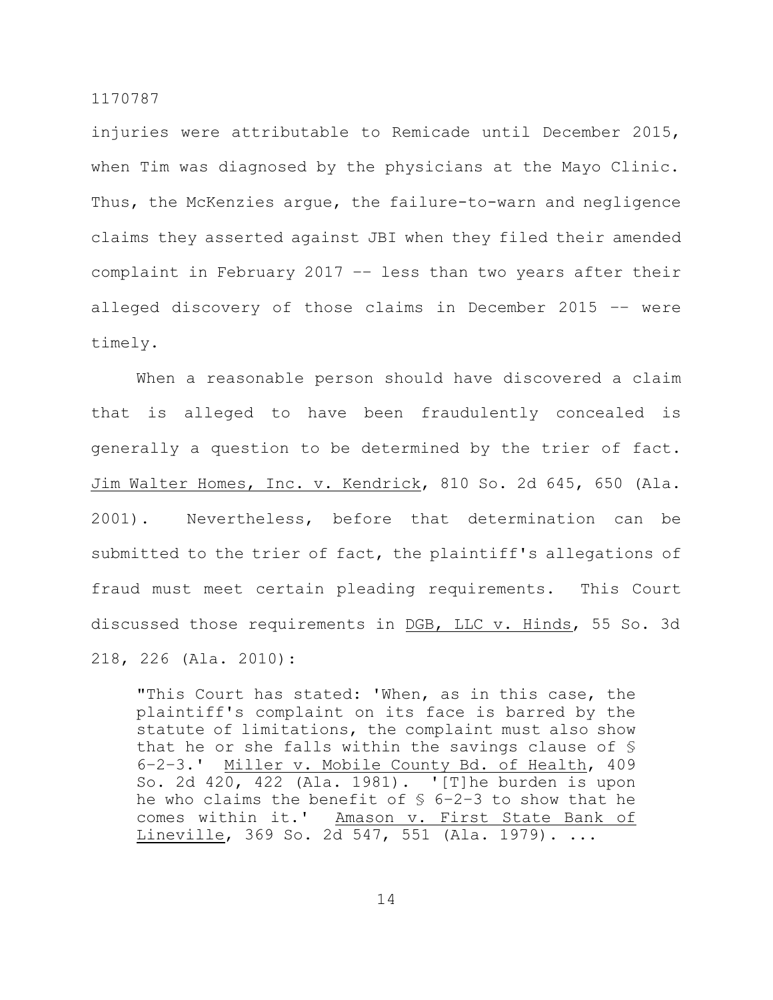injuries were attributable to Remicade until December 2015, when Tim was diagnosed by the physicians at the Mayo Clinic. Thus, the McKenzies argue, the failure-to-warn and negligence claims they asserted against JBI when they filed their amended complaint in February 2017 –– less than two years after their alleged discovery of those claims in December 2015 –– were timely.

When a reasonable person should have discovered a claim that is alleged to have been fraudulently concealed is generally a question to be determined by the trier of fact. Jim Walter Homes, Inc. v. Kendrick, 810 So. 2d 645, 650 (Ala. 2001). Nevertheless, before that determination can be submitted to the trier of fact, the plaintiff's allegations of fraud must meet certain pleading requirements. This Court discussed those requirements in DGB, LLC v. Hinds, 55 So. 3d 218, 226 (Ala. 2010):

"This Court has stated: 'When, as in this case, the plaintiff's complaint on its face is barred by the statute of limitations, the complaint must also show that he or she falls within the savings clause of § 6–2–3.' Miller v. Mobile County Bd. of Health, 409 So. 2d 420, 422 (Ala. 1981). '[T]he burden is upon he who claims the benefit of  $$6-2-3$  to show that he comes within it.' Amason v. First State Bank of Lineville, 369 So. 2d 547, 551 (Ala. 1979). ...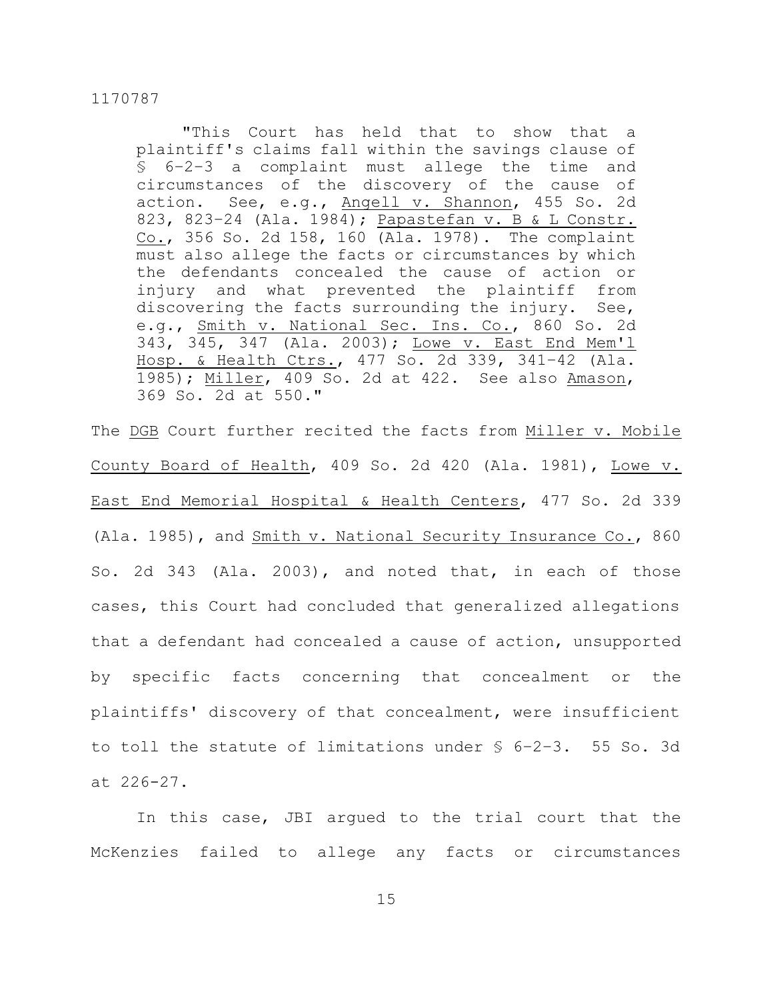"This Court has held that to show that a plaintiff's claims fall within the savings clause of § 6–2–3 a complaint must allege the time and circumstances of the discovery of the cause of action. See, e.g., Angell v. Shannon, 455 So. 2d 823, 823–24 (Ala. 1984); Papastefan v. B & L Constr. Co., 356 So. 2d 158, 160 (Ala. 1978). The complaint must also allege the facts or circumstances by which the defendants concealed the cause of action or injury and what prevented the plaintiff from discovering the facts surrounding the injury. See, e.g., **Smith v. National Sec. Ins. Co.**, 860 So. 2d 343, 345, 347 (Ala. 2003); Lowe v. East End Mem'l Hosp. & Health Ctrs., 477 So. 2d 339, 341–42 (Ala. 1985); Miller, 409 So. 2d at 422. See also Amason, 369 So. 2d at 550."

The DGB Court further recited the facts from Miller v. Mobile County Board of Health, 409 So. 2d 420 (Ala. 1981), Lowe v. East End Memorial Hospital & Health Centers, 477 So. 2d 339 (Ala. 1985), and Smith v. National Security Insurance Co., 860 So. 2d 343 (Ala. 2003), and noted that, in each of those cases, this Court had concluded that generalized allegations that a defendant had concealed a cause of action, unsupported by specific facts concerning that concealment or the plaintiffs' discovery of that concealment, were insufficient to toll the statute of limitations under § 6–2–3. 55 So. 3d at 226-27.

In this case, JBI argued to the trial court that the McKenzies failed to allege any facts or circumstances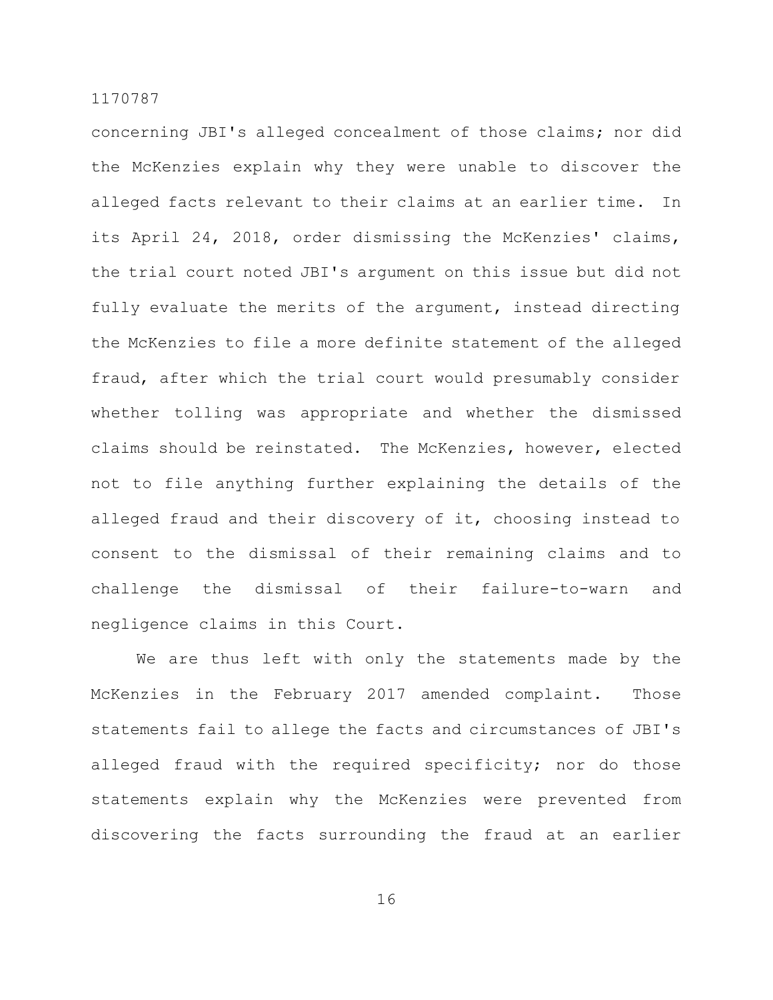concerning JBI's alleged concealment of those claims; nor did the McKenzies explain why they were unable to discover the alleged facts relevant to their claims at an earlier time. In its April 24, 2018, order dismissing the McKenzies' claims, the trial court noted JBI's argument on this issue but did not fully evaluate the merits of the argument, instead directing the McKenzies to file a more definite statement of the alleged fraud, after which the trial court would presumably consider whether tolling was appropriate and whether the dismissed claims should be reinstated. The McKenzies, however, elected not to file anything further explaining the details of the alleged fraud and their discovery of it, choosing instead to consent to the dismissal of their remaining claims and to challenge the dismissal of their failure-to-warn and negligence claims in this Court.

We are thus left with only the statements made by the McKenzies in the February 2017 amended complaint. Those statements fail to allege the facts and circumstances of JBI's alleged fraud with the required specificity; nor do those statements explain why the McKenzies were prevented from discovering the facts surrounding the fraud at an earlier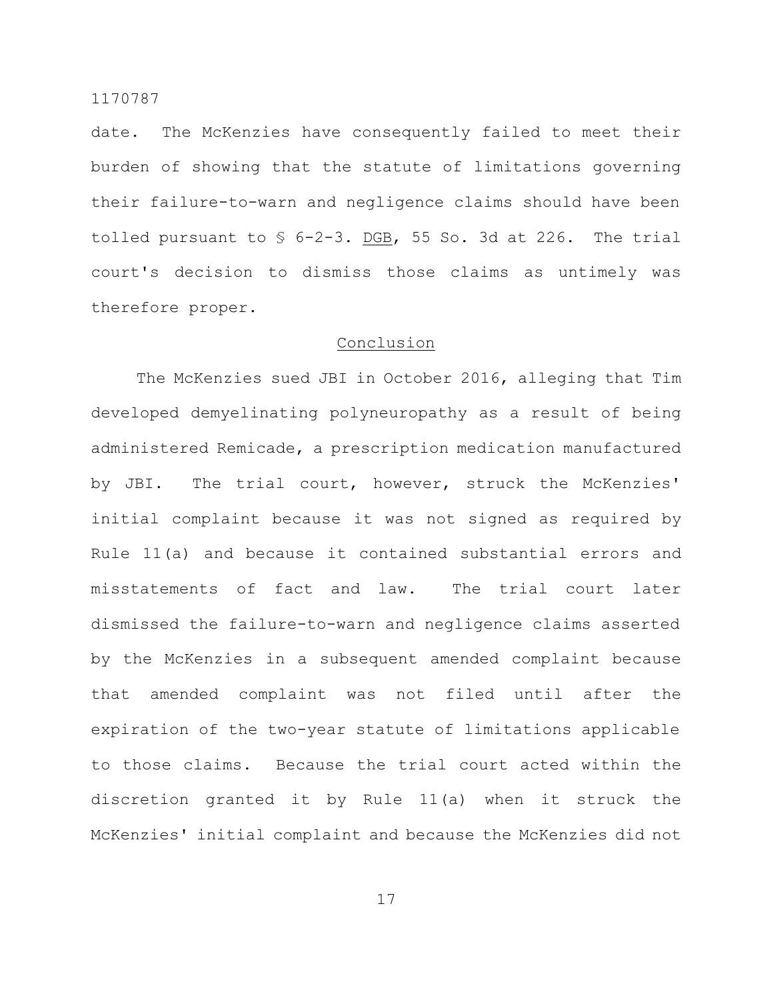date. The McKenzies have consequently failed to meet their burden of showing that the statute of limitations governing their failure-to-warn and negligence claims should have been tolled pursuant to  $\frac{1}{5}$  6-2-3. DGB, 55 So. 3d at 226. The trial court's decision to dismiss those claims as untimely was therefore proper.

## Conclusion

The McKenzies sued JBI in October 2016, alleging that Tim developed demyelinating polyneuropathy as a result of being administered Remicade, a prescription medication manufactured by JBI. The trial court, however, struck the McKenzies' initial complaint because it was not signed as required by Rule 11(a) and because it contained substantial errors and misstatements of fact and law. The trial court later dismissed the failure-to-warn and negligence claims asserted by the McKenzies in a subsequent amended complaint because that amended complaint was not filed until after the expiration of the two-year statute of limitations applicable to those claims. Because the trial court acted within the discretion granted it by Rule 11(a) when it struck the McKenzies' initial complaint and because the McKenzies did not